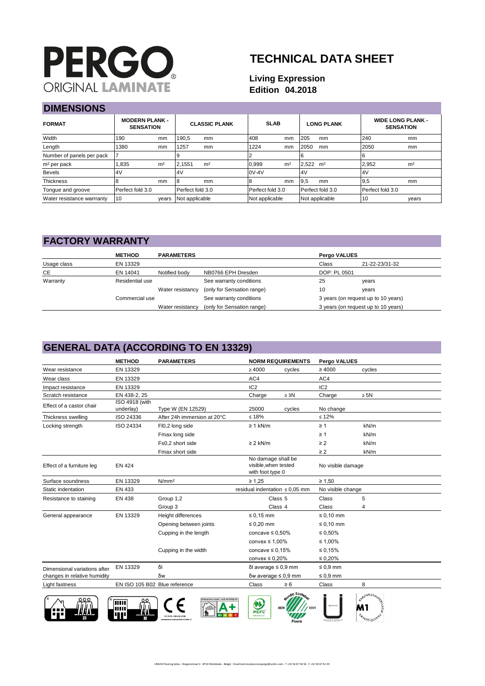# **PERGO ORIGINAL LAMINATE**

# **TECHNICAL DATA SHEET**

#### **Living Expression Edition 04.2018**

## **DIMENSIONS**

| риинского ко               |                                           |                |                  |                      |                  |                |                        |                   |                  |                                              |
|----------------------------|-------------------------------------------|----------------|------------------|----------------------|------------------|----------------|------------------------|-------------------|------------------|----------------------------------------------|
| <b>FORMAT</b>              | <b>MODERN PLANK -</b><br><b>SENSATION</b> |                |                  | <b>CLASSIC PLANK</b> |                  | <b>SLAB</b>    |                        | <b>LONG PLANK</b> |                  | <b>WIDE LONG PLANK -</b><br><b>SENSATION</b> |
| Width                      | 190                                       | mm             | 190,5            | mm                   | 408              | mm             | 205                    | mm                | 240              | <sub>mm</sub>                                |
| Length                     | 1380                                      | mm             | 1257             | mm                   | 1224             | mm             | 2050                   | mm                | 2050             | <sub>mm</sub>                                |
| Number of panels per pack  |                                           |                |                  |                      |                  |                |                        |                   |                  |                                              |
| m <sup>2</sup> per pack    | .835                                      | m <sup>2</sup> | 2.1551           | m <sup>2</sup>       | 0.999            | m <sup>2</sup> | $2.522$ m <sup>2</sup> |                   | 2,952            | m <sup>2</sup>                               |
| <b>Bevels</b>              | 4V                                        |                | 4V               |                      | $0V-4V$          |                | 4V                     |                   | 4V               |                                              |
| <b>Thickness</b>           |                                           | mm             | 8                | mm                   |                  | mm             | 9.5                    | mm                | 9,5              | <sub>mm</sub>                                |
| Tongue and groove          | Perfect fold 3.0                          |                | Perfect fold 3.0 |                      | Perfect fold 3.0 |                |                        | Perfect fold 3.0  | Perfect fold 3.0 |                                              |
| Water resistance warrranty | 10                                        | years          | Not applicable   |                      | Not applicable   |                |                        | Not applicable    | 10               | years                                        |

#### **FACTORY WARRANTY**

|             | <b>METHOD</b>   | <b>PARAMETERS</b> |                                             | Pergo VALUES |                                     |  |
|-------------|-----------------|-------------------|---------------------------------------------|--------------|-------------------------------------|--|
| Usage class | EN 13329        |                   |                                             | Class        | 21-22-23/31-32                      |  |
| <b>CE</b>   | EN 14041        | Notified body     | NB0766 EPH Dresden                          | DOP: PL 0501 |                                     |  |
| Warranty    | Residential use |                   | See warranty conditions                     | 25           | years                               |  |
|             |                 |                   | Water resistancy (only for Sensation range) | 10           | years                               |  |
|             | Commercial use  |                   | See warranty conditions                     |              | 3 years (on request up to 10 years) |  |
|             |                 | Water resistancy  | (only for Sensation range)                  |              | 3 years (on request up to 10 years) |  |

# **GENERAL DATA (ACCORDING TO EN 13329)**

|                              | <b>METHOD</b>                 | <b>PARAMETERS</b>                   | <b>NORM REQUIREMENTS</b>                                      |                             | <b>Pergo VALUES</b> |                                   |
|------------------------------|-------------------------------|-------------------------------------|---------------------------------------------------------------|-----------------------------|---------------------|-----------------------------------|
| Wear resistance              | EN 13329                      |                                     | $\geq 4000$                                                   | cycles                      | $\geq 4000$         | cycles                            |
| Wear class                   | EN 13329                      |                                     | AC4                                                           |                             | AC4                 |                                   |
| Impact resistance            | EN 13329                      |                                     | IC <sub>2</sub>                                               |                             | IC <sub>2</sub>     |                                   |
| Scratch resistance           | EN 438-2, 25                  |                                     | Charge                                                        | $\geq 3N$                   | Charge              | $\geq$ 5N                         |
| Effect of a castor chair     | ISO 4918 (with<br>underlay)   | Type W (EN 12529)                   | 25000                                                         | cycles                      | No change           |                                   |
| Thickness swelling           | ISO 24336                     | After 24h immersion at 20°C         | $≤ 18%$                                                       |                             | $\leq 12\%$         |                                   |
| Locking strength             | ISO 24334                     | FI0,2 long side                     | $\geq 1$ kN/m                                                 |                             | $\geq 1$            | kN/m                              |
|                              |                               | Fmax long side                      |                                                               |                             | $\geq 1$            | kN/m                              |
|                              |                               | Fs0.2 short side                    | $\geq$ 2 kN/m                                                 |                             | $\geq$ 2            | kN/m                              |
|                              |                               | Fmax short side                     |                                                               |                             | $\geq 2$            | kN/m                              |
| Effect of a furniture leg    | <b>EN 424</b>                 |                                     | No damage shall be<br>visible.when tested<br>with foot type 0 |                             | No visible damage   |                                   |
| Surface soundness            | EN 13329                      | N/mm <sup>2</sup>                   | $\geq 1.25$                                                   |                             | $\geq 1,50$         |                                   |
| Static indentation           | EN 433                        |                                     | residual indentation $\leq 0.05$ mm                           |                             | No visible change   |                                   |
| Resistance to staining       | <b>EN 438</b>                 | Group 1,2                           | Class <sub>5</sub>                                            |                             | Class               | 5                                 |
|                              |                               | Group 3                             | Class 4                                                       |                             | Class               | 4                                 |
| General appearance           | EN 13329                      | Height differences                  | $\leq 0.15$ mm                                                |                             | $\leq 0.10$ mm      |                                   |
|                              |                               | Opening between joints              | $\leq 0.20$ mm                                                |                             | $\leq 0.10$ mm      |                                   |
|                              |                               | Cupping in the length               | concave $\leq 0.50\%$                                         |                             | $\leq 0.50\%$       |                                   |
|                              |                               |                                     | convex $\leq 1,00\%$                                          |                             | ≤ 1,00%             |                                   |
|                              |                               | Cupping in the width                | concave $\leq 0.15\%$                                         |                             | ≤ 0,15%             |                                   |
|                              |                               |                                     | convex $\leq 0.20\%$                                          |                             | $\leq 0.20\%$       |                                   |
| Dimensional variations after | EN 13329                      | δI                                  | δl average ≤ 0,9 mm                                           |                             | $\leq 0.9$ mm       |                                   |
| changes in relative humidity |                               | δw                                  | $\delta w$ average $\leq 0.9$ mm                              |                             | $\leq 0.9$ mm       |                                   |
| Light fastness               | EN ISO 105 B02 Blue reference |                                     | Class                                                         | $\geq 6$                    | Class               | 8                                 |
| ooo                          | ш                             | <b>ISSIONS DANS L'AIR INTÉRIEUR</b> | PEFC<br><b>REF OVE-30-8</b>                                   | dic Ecolar<br><b>Floors</b> |                     | <b>ATENNUSA</b><br><b>Avomoss</b> |